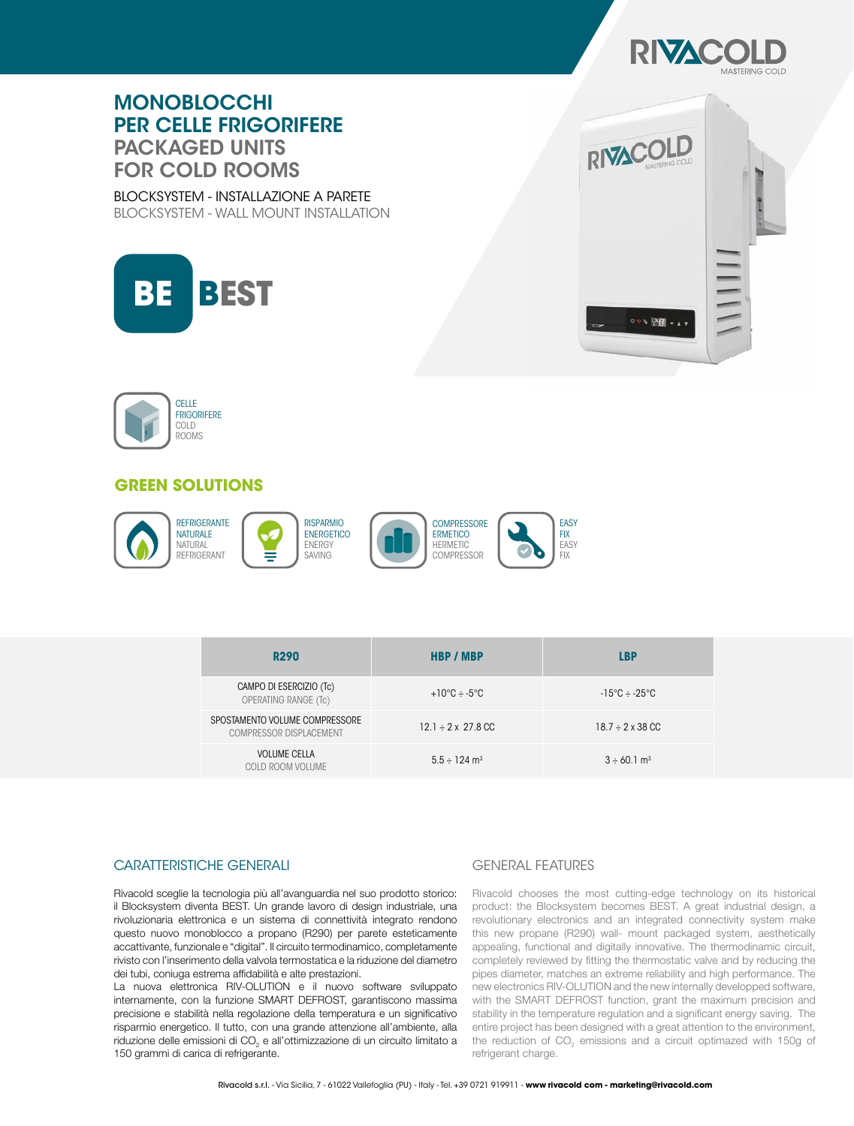

# MONOBLOCCHI PER CELLE FRIGORIFERE PACKAGED UNITS FOR COLD ROOMS

BLOCKSYSTEM - INSTALLAZIONE A PARETE BLOCKSYSTEM - WALL MOUNT INSTALLATION







# **GREEN SOLUTIONS**



| <b>R290</b>                                               | <b>HBP / MBP</b>                      | <b>LBP</b>                   |
|-----------------------------------------------------------|---------------------------------------|------------------------------|
| CAMPO DI ESERCIZIO (Tc)<br>OPERATING RANGE (Tc)           | $+10^{\circ}$ C $-5^{\circ}$ C        | $-15\degree C - 25\degree C$ |
| SPOSTAMENTO VOLUME COMPRESSORE<br>COMPRESSOR DISPLACEMENT | $12.1 \div 2 \times 27.8 \,\text{CC}$ | $18.7 \div 2 \times 38$ CC   |
| <b>VOLUME CELLA</b><br>COLD ROOM VOLUME                   | $5.5 \div 124$ m <sup>3</sup>         | $3 \div 60.1$ m <sup>3</sup> |

#### CARATTERISTICHE GENERALI GENERAL GENERAL FEATURES

Rivacold sceglie la tecnologia più all'avanguardia nel suo prodotto storico: il Blocksystem diventa BEST. Un grande lavoro di design industriale, una rivoluzionaria elettronica e un sistema di connettività integrato rendono questo nuovo monoblocco a propano (R290) per parete esteticamente accattivante, funzionale e "digital". Il circuito termodinamico, completamente rivisto con l'inserimento della valvola termostatica e la riduzione del diametro dei tubi, coniuga estrema affidabilità e alte prestazioni.

La nuova elettronica RIV-OLUTION e il nuovo software sviluppato internamente, con la funzione SMART DEFROST, garantiscono massima precisione e stabilità nella regolazione della temperatura e un significativo risparmio energetico. Il tutto, con una grande attenzione all'ambiente, alla riduzione delle emissioni di CO<sub>2</sub> e all'ottimizzazione di un circuito limitato a 150 grammi di carica di refrigerante.

Rivacold chooses the most cutting-edge technology on its historical product: the Blocksystem becomes BEST. A great industrial design, a revolutionary electronics and an integrated connectivity system make this new propane (R290) wall- mount packaged system, aesthetically appealing, functional and digitally innovative. The thermodinamic circuit, completely reviewed by fitting the thermostatic valve and by reducing the pipes diameter, matches an extreme reliability and high performance. The new electronics RIV-OLUTION and the new internally developped software, with the SMART DEFROST function, grant the maximum precision and stability in the temperature regulation and a significant energy saving. The entire project has been designed with a great attention to the environment, the reduction of CO<sub>2</sub> emissions and a circuit optimazed with 150g of refrigerant charge.